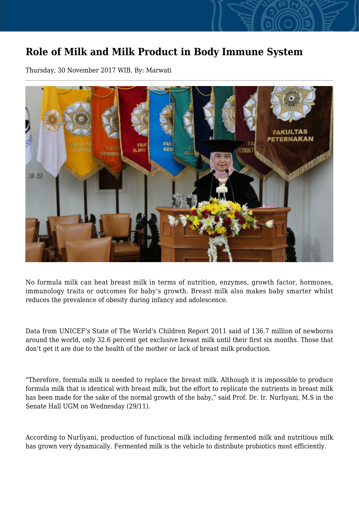## **Role of Milk and Milk Product in Body Immune System**

Thursday, 30 November 2017 WIB, By: Marwati



No formula milk can beat breast milk in terms of nutrition, enzymes, growth factor, hormones, immunology traits or outcomes for baby's growth. Breast milk also makes baby smarter whilst reduces the prevalence of obesity during infancy and adolescence.

Data from UNICEF's State of The World's Children Report 2011 said of 136.7 million of newborns around the world, only 32.6 percent get exclusive breast milk until their first six months. Those that don't get it are due to the health of the mother or lack of breast milk production.

"Therefore, formula milk is needed to replace the breast milk. Although it is impossible to produce formula milk that is identical with breast milk, but the effort to replicate the nutrients in breast milk has been made for the sake of the normal growth of the baby," said Prof. Dr. Ir. Nurliyani, M.S in the Senate Hall UGM on Wednesday (29/11).

According to Nurliyani, production of functional milk including fermented milk and nutritious milk has grown very dynamically. Fermented milk is the vehicle to distribute probiotics most efficiently.